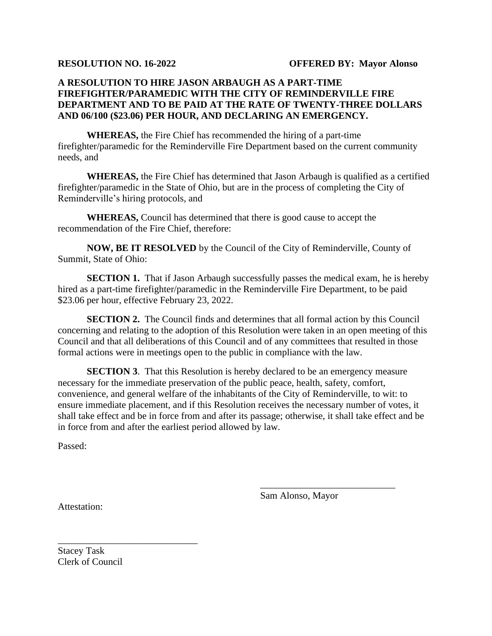## **A RESOLUTION TO HIRE JASON ARBAUGH AS A PART-TIME FIREFIGHTER/PARAMEDIC WITH THE CITY OF REMINDERVILLE FIRE DEPARTMENT AND TO BE PAID AT THE RATE OF TWENTY-THREE DOLLARS AND 06/100 (\$23.06) PER HOUR, AND DECLARING AN EMERGENCY.**

**WHEREAS,** the Fire Chief has recommended the hiring of a part-time firefighter/paramedic for the Reminderville Fire Department based on the current community needs, and

**WHEREAS,** the Fire Chief has determined that Jason Arbaugh is qualified as a certified firefighter/paramedic in the State of Ohio, but are in the process of completing the City of Reminderville's hiring protocols, and

**WHEREAS,** Council has determined that there is good cause to accept the recommendation of the Fire Chief, therefore:

**NOW, BE IT RESOLVED** by the Council of the City of Reminderville, County of Summit, State of Ohio:

**SECTION 1.** That if Jason Arbaugh successfully passes the medical exam, he is hereby hired as a part-time firefighter/paramedic in the Reminderville Fire Department, to be paid \$23.06 per hour, effective February 23, 2022.

**SECTION 2.** The Council finds and determines that all formal action by this Council concerning and relating to the adoption of this Resolution were taken in an open meeting of this Council and that all deliberations of this Council and of any committees that resulted in those formal actions were in meetings open to the public in compliance with the law.

**SECTION 3**. That this Resolution is hereby declared to be an emergency measure necessary for the immediate preservation of the public peace, health, safety, comfort, convenience, and general welfare of the inhabitants of the City of Reminderville, to wit: to ensure immediate placement, and if this Resolution receives the necessary number of votes, it shall take effect and be in force from and after its passage; otherwise, it shall take effect and be in force from and after the earliest period allowed by law.

Passed:

Sam Alonso, Mayor

\_\_\_\_\_\_\_\_\_\_\_\_\_\_\_\_\_\_\_\_\_\_\_\_\_\_\_\_

Attestation:

Stacey Task Clerk of Council

\_\_\_\_\_\_\_\_\_\_\_\_\_\_\_\_\_\_\_\_\_\_\_\_\_\_\_\_\_